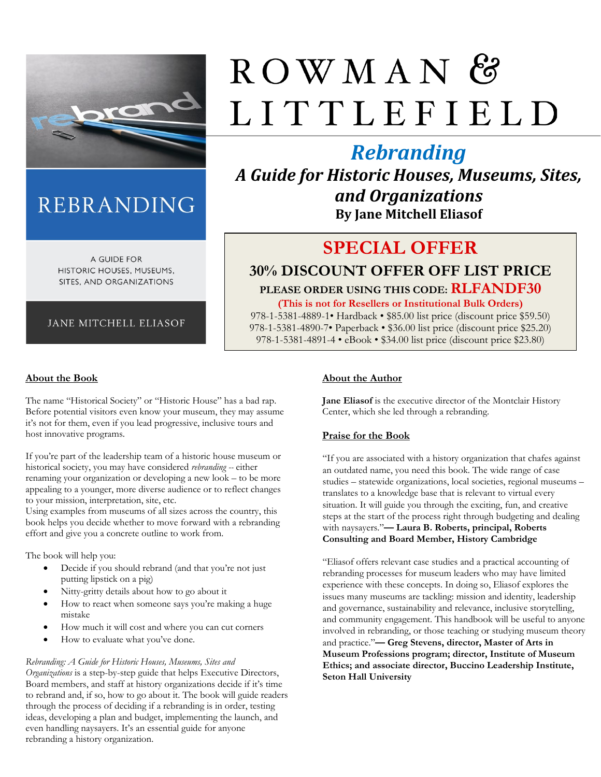

# REBRANDING

A GUIDE FOR HISTORIC HOUSES, MUSEUMS. SITES, AND ORGANIZATIONS

**JANE MITCHELL ELIASOF** 

# ROWMAN<sup>&</sup> LITTLEFIELD

# *Rebranding*

*A Guide for Historic Houses, Museums, Sites, and Organizations* **By Jane Mitchell Eliasof**

## **SPECIAL OFFER**

**30% DISCOUNT OFFER OFF LIST PRICE**

**PLEASE ORDER USING THIS CODE: RLFANDF30**

**(This is not for Resellers or Institutional Bulk Orders)** 978-1-5381-4889-1• Hardback • \$85.00 list price (discount price \$59.50) 978-1-5381-4890-7• Paperback • \$36.00 list price (discount price \$25.20) 978-1-5381-4891-4 • eBook • \$34.00 list price (discount price \$23.80)

#### **About the Book**

The name "Historical Society" or "Historic House" has a bad rap. Before potential visitors even know your museum, they may assume it's not for them, even if you lead progressive, inclusive tours and host innovative programs.

If you're part of the leadership team of a historic house museum or historical society, you may have considered *rebranding --* either renaming your organization or developing a new look – to be more appealing to a younger, more diverse audience or to reflect changes to your mission, interpretation, site, etc.

Using examples from museums of all sizes across the country, this book helps you decide whether to move forward with a rebranding effort and give you a concrete outline to work from.

The book will help you:

- Decide if you should rebrand (and that you're not just putting lipstick on a pig)
- Nitty-gritty details about how to go about it
- How to react when someone says you're making a huge mistake
- How much it will cost and where you can cut corners
- How to evaluate what you've done.

#### *Rebranding: A Guide for Historic Houses, Museums, Sites and*

*Organizations* is a step-by-step guide that helps Executive Directors, Board members, and staff at history organizations decide if it's time to rebrand and, if so, how to go about it. The book will guide readers through the process of deciding if a rebranding is in order, testing ideas, developing a plan and budget, implementing the launch, and even handling naysayers. It's an essential guide for anyone rebranding a history organization.

#### **About the Author**

**Jane Eliasof** is the executive director of the Montclair History Center, which she led through a rebranding.

#### **Praise for the Book**

"If you are associated with a history organization that chafes against an outdated name, you need this book. The wide range of case studies – statewide organizations, local societies, regional museums – translates to a knowledge base that is relevant to virtual every situation. It will guide you through the exciting, fun, and creative steps at the start of the process right through budgeting and dealing with naysayers."**— Laura B. Roberts, principal, Roberts Consulting and Board Member, History Cambridge**

"Eliasof offers relevant case studies and a practical accounting of rebranding processes for museum leaders who may have limited experience with these concepts. In doing so, Eliasof explores the issues many museums are tackling: mission and identity, leadership and governance, sustainability and relevance, inclusive storytelling, and community engagement. This handbook will be useful to anyone involved in rebranding, or those teaching or studying museum theory and practice."**— Greg Stevens, director, Master of Arts in Museum Professions program; director, Institute of Museum Ethics; and associate director, Buccino Leadership Institute, Seton Hall University**